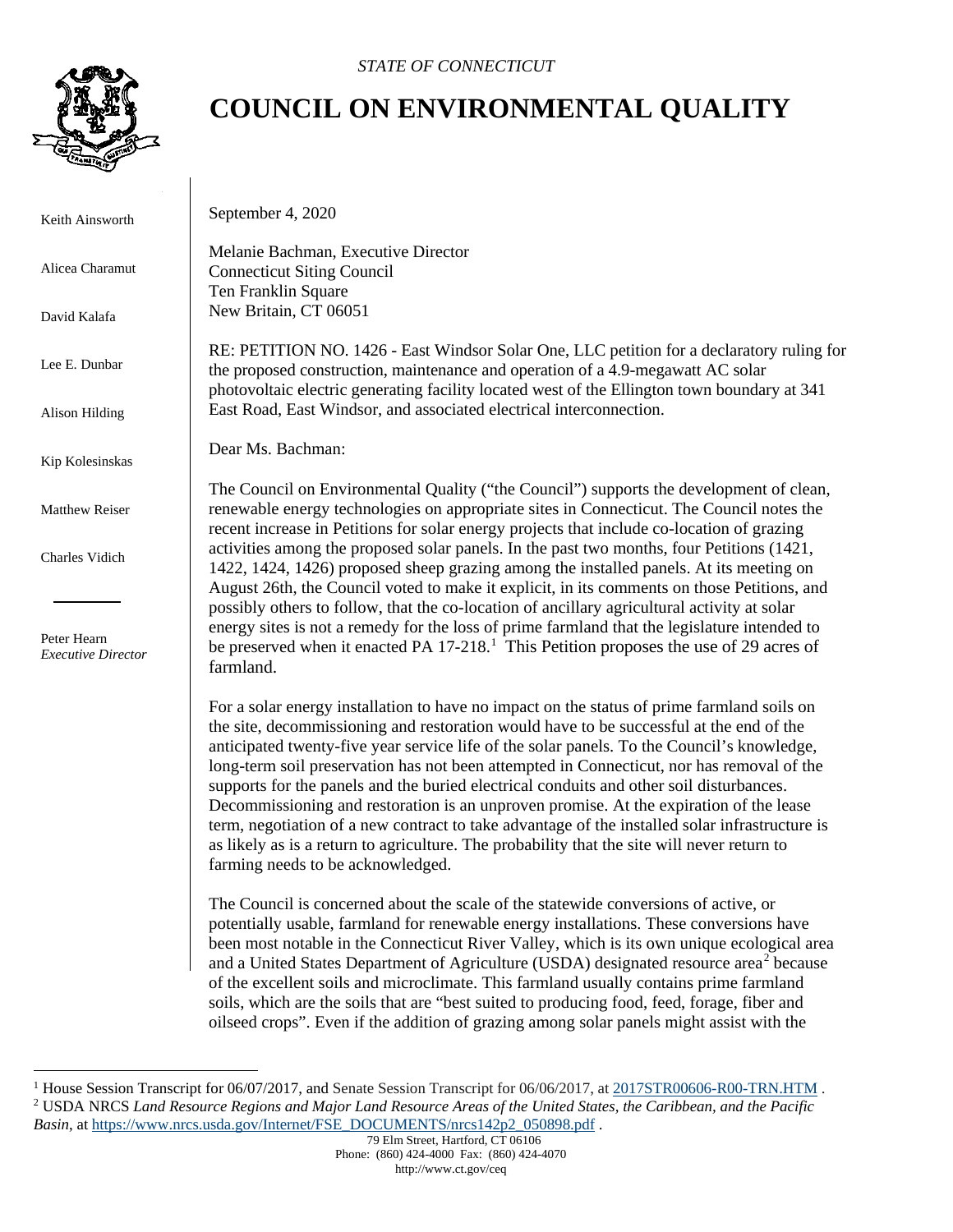

Keith Ainsworth

Alicea Charamut

David Kalafa

Lee E. Dunbar

Alison Hilding

Kip Kolesinskas

Matthew Reiser

Charles Vidich

 Peter Hearn *Executive Director*

## **COUNCIL ON ENVIRONMENTAL QUALITY**

September 4, 2020

Melanie Bachman, Executive Director Connecticut Siting Council Ten Franklin Square New Britain, CT 06051

RE: PETITION NO. 1426 - East Windsor Solar One, LLC petition for a declaratory ruling for the proposed construction, maintenance and operation of a 4.9-megawatt AC solar photovoltaic electric generating facility located west of the Ellington town boundary at 341 East Road, East Windsor, and associated electrical interconnection.

Dear Ms. Bachman:

The Council on Environmental Quality ("the Council") supports the development of clean, renewable energy technologies on appropriate sites in Connecticut. The Council notes the recent increase in Petitions for solar energy projects that include co-location of grazing activities among the proposed solar panels. In the past two months, four Petitions (1421, 1422, 1424, 1426) proposed sheep grazing among the installed panels. At its meeting on August 26th, the Council voted to make it explicit, in its comments on those Petitions, and possibly others to follow, that the co-location of ancillary agricultural activity at solar energy sites is not a remedy for the loss of prime farmland that the legislature intended to be preserved when it enacted PA [1](#page-0-0)7-218.<sup>1</sup> This Petition proposes the use of 29 acres of farmland.

For a solar energy installation to have no impact on the status of prime farmland soils on the site, decommissioning and restoration would have to be successful at the end of the anticipated twenty-five year service life of the solar panels. To the Council's knowledge, long-term soil preservation has not been attempted in Connecticut, nor has removal of the supports for the panels and the buried electrical conduits and other soil disturbances. Decommissioning and restoration is an unproven promise. At the expiration of the lease term, negotiation of a new contract to take advantage of the installed solar infrastructure is as likely as is a return to agriculture. The probability that the site will never return to farming needs to be acknowledged.

The Council is concerned about the scale of the statewide conversions of active, or potentially usable, farmland for renewable energy installations. These conversions have been most notable in the Connecticut River Valley, which is its own unique ecological area and a United States Department of Agriculture (USDA) designated resource area<sup>[2](#page-0-1)</sup> because of the excellent soils and microclimate. This farmland usually contains prime farmland soils, which are the soils that are "best suited to producing food, feed, forage, fiber and oilseed crops". Even if the addition of grazing among solar panels might assist with the

<span id="page-0-1"></span><span id="page-0-0"></span><sup>&</sup>lt;sup>1</sup> House Session Transcript for 06/07/2017, and Senate Session Transcript for 06/06/2017, at [2017STR00606-R00-TRN.HTM](https://search.cga.state.ct.us/r/adv/dtsearch.asp?cmd=getdoc&DocId=18023&Index=I%3a%5czindex%5c2017&HitCount=23&hits=2d78+2e2e+2e4e+2e62+2f82+2fc7+2fde+2ff4+302e+3185+31a2+321b+338e+33b2+3411+3415+3528+3582+358f+35d1+35fd+37f8+3885+&hc=44&req=farmland&Item=2). <sup>2</sup> USDA NRCS *Land Resource Regions and Major Land Resource Areas of the United States, the Caribbean, and the Pacific Basin*, at [https://www.nrcs.usda.gov/Internet/FSE\\_DOCUMENTS/nrcs142p2\\_050898.pdf](https://www.nrcs.usda.gov/Internet/FSE_DOCUMENTS/nrcs142p2_050898.pdf) .